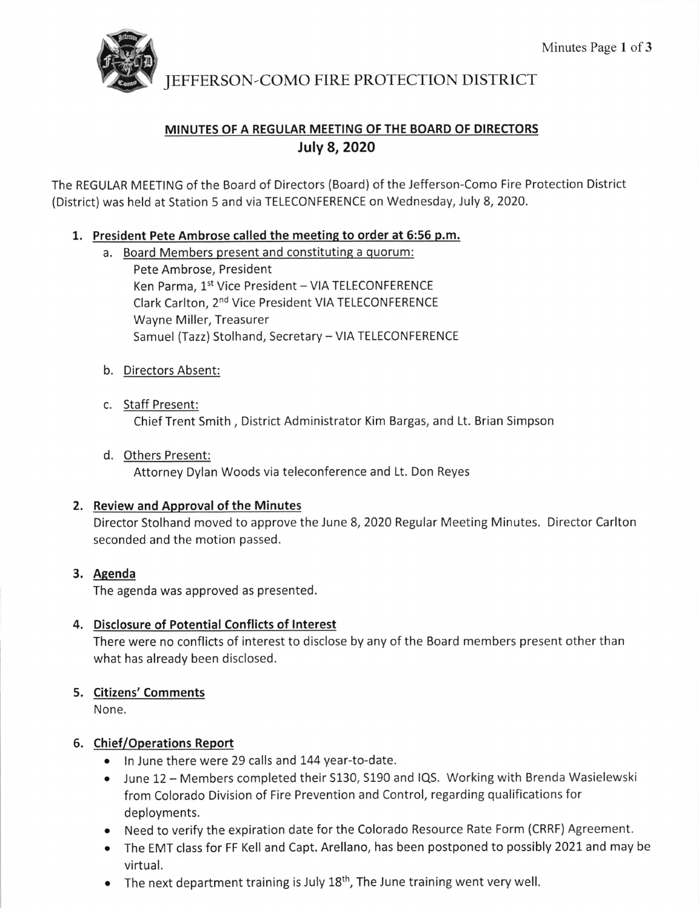

JEFFERSON-COMO FIRE PROTECTION DISTRICT

# MINUTES OF A REGULAR MEETING OF THE BOARD OF DIRECTORS July 8, 2O2O

The REGULAR MEETING of the Board of Directors (Board) of the Jefferson-Como Fire Protection District (District) was held at Station 5 and via TELECONFERENCE on Wednesday, July 8, 2020.

### 1. President Pete Ambrose called the meeting to order at 5:56 p.m.

a. Board Members present and constituting a quorum:

Pete Ambrose, President Ken Parma, 1st Vice President - VIA TELECONFERENCE Clark Carlton, 2<sup>nd</sup> Vice President VIA TELECONFERENCE Wayne Miller, Treasurer Samuel (Tazz) Stolhand, Secretary - VIA TELECONFERENCE

- b. <u>Directors Absent:</u>
- c. Staff Present: Chief Trent Smith , District Administrator Kim Bargas, and Lt. Brian Simpson
- d. <u>Others Present:</u> Attorney Dylan Woods via teleconference and Lt. Don Reyes

### 2. Review and Approval of the Minutes

Director Stolhand moved to approve the June 8, 2020 Regular Meeting Minutes. Director Carlton seconded and the motion passed.

## 3. <u>Agenda</u>

The agenda was approved as presented.

## 4. Disclosure of Potential Conflicts of Interest

There were no conflicts of interest to disclose by any of the Board members present other than what has already been disclosed.

## 5. <u>Citizens' Comments</u>

None.

## 6. Chief/Operations Report

- o ln June there were 29 calls and L44 year-to-date.
- June 12 Members completed their S130, S190 and IQS. Working with Brenda Wasielewski from Colorado Division of Fire Prevention and Control, regarding qualifications for deployments.
- o Need to verify the expiration date for the Colorado Resource Rate Form (CRRF) Agreement.
- The EMT class for FF Kell and Capt. Arellano, has been postponed to possibly 2021 and may be virtual.
- $\bullet$  The next department training is July 18<sup>th</sup>, The June training went very well.